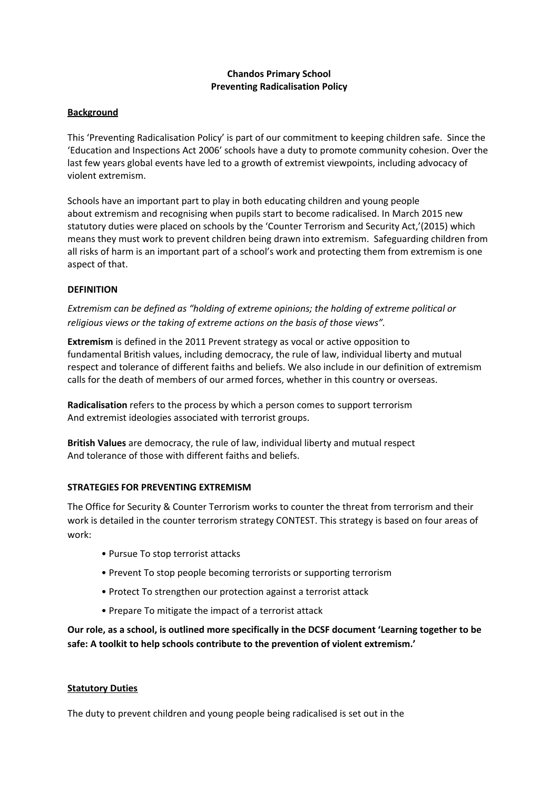# **Chandos Primary School Preventing Radicalisation Policy**

#### **Background**

This 'Preventing Radicalisation Policy' is part of our commitment to keeping children safe. Since the 'Education and Inspections Act 2006' schools have a duty to promote community cohesion. Over the last few years global events have led to a growth of extremist viewpoints, including advocacy of violent extremism.

Schools have an important part to play in both educating children and young people about extremism and recognising when pupils start to become radicalised. In March 2015 new statutory duties were placed on schools by the 'Counter Terrorism and Security Act,'(2015) which means they must work to prevent children being drawn into extremism. Safeguarding children from all risks of harm is an important part of a school's work and protecting them from extremism is one aspect of that.

### **DEFINITION**

*Extremism can be defined as "holding of extreme opinions; the holding of extreme political or religious views or the taking of extreme actions on the basis of those views".*

**Extremism** is defined in the 2011 Prevent strategy as vocal or active opposition to fundamental British values, including democracy, the rule of law, individual liberty and mutual respect and tolerance of different faiths and beliefs. We also include in our definition of extremism calls for the death of members of our armed forces, whether in this country or overseas.

**Radicalisation** refers to the process by which a person comes to support terrorism And extremist ideologies associated with terrorist groups.

**British Values** are democracy, the rule of law, individual liberty and mutual respect And tolerance of those with different faiths and beliefs.

### **STRATEGIES FOR PREVENTING EXTREMISM**

The Office for Security & Counter Terrorism works to counter the threat from terrorism and their work is detailed in the counter terrorism strategy CONTEST. This strategy is based on four areas of work:

- Pursue To stop terrorist attacks
- Prevent To stop people becoming terrorists or supporting terrorism
- Protect To strengthen our protection against a terrorist attack
- Prepare To mitigate the impact of a terrorist attack

**Our role, as a school, is outlined more specifically in the DCSF document 'Learning together to be safe: A toolkit to help schools contribute to the prevention of violent extremism.'**

#### **Statutory Duties**

The duty to prevent children and young people being radicalised is set out in the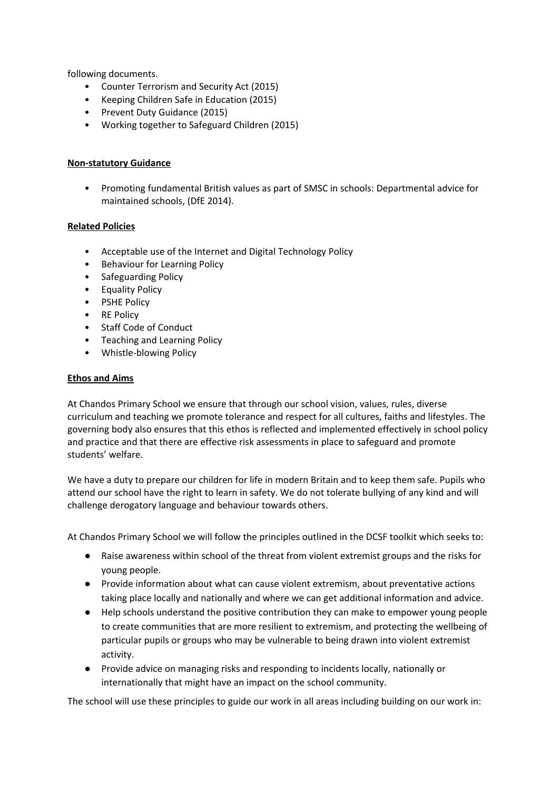following documents.

- Counter Terrorism and Security Act (2015)
- Keeping Children Safe in Education (2015)
- Prevent Duty Guidance (2015)
- Working together to Safeguard Children (2015)

## **Non-statutory Guidance**

• Promoting fundamental British values as part of SMSC in schools: Departmental advice for maintained schools, (DfE 2014).

## **Related Policies**

- Acceptable use of the Internet and Digital Technology Policy
- Behaviour for Learning Policy
- Safeguarding Policy
- Equality Policy
- PSHE Policy
- RE Policy
- Staff Code of Conduct
- Teaching and Learning Policy
- Whistle-blowing Policy

### **Ethos and Aims**

At Chandos Primary School we ensure that through our school vision, values, rules, diverse curriculum and teaching we promote tolerance and respect for all cultures, faiths and lifestyles. The governing body also ensures that this ethos is reflected and implemented effectively in school policy and practice and that there are effective risk assessments in place to safeguard and promote students' welfare.

We have a duty to prepare our children for life in modern Britain and to keep them safe. Pupils who attend our school have the right to learn in safety. We do not tolerate bullying of any kind and will challenge derogatory language and behaviour towards others.

At Chandos Primary School we will follow the principles outlined in the DCSF toolkit which seeks to:

- Raise awareness within school of the threat from violent extremist groups and the risks for young people.
- Provide information about what can cause violent extremism, about preventative actions taking place locally and nationally and where we can get additional information and advice.
- Help schools understand the positive contribution they can make to empower young people to create communities that are more resilient to extremism, and protecting the wellbeing of particular pupils or groups who may be vulnerable to being drawn into violent extremist activity.
- Provide advice on managing risks and responding to incidents locally, nationally or internationally that might have an impact on the school community.

The school will use these principles to guide our work in all areas including building on our work in: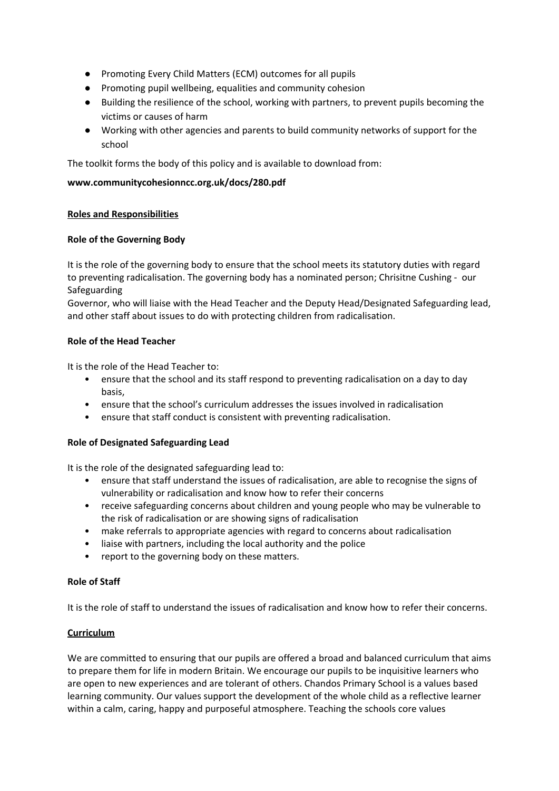- Promoting Every Child Matters (ECM) outcomes for all pupils
- Promoting pupil wellbeing, equalities and community cohesion
- Building the resilience of the school, working with partners, to prevent pupils becoming the victims or causes of harm
- Working with other agencies and parents to build community networks of support for the school

The toolkit forms the body of this policy and is available to download from:

# **www.communitycohesionncc.org.uk/docs/280.pdf**

## **Roles and Responsibilities**

## **Role of the Governing Body**

It is the role of the governing body to ensure that the school meets its statutory duties with regard to preventing radicalisation. The governing body has a nominated person; Chrisitne Cushing - our Safeguarding

Governor, who will liaise with the Head Teacher and the Deputy Head/Designated Safeguarding lead, and other staff about issues to do with protecting children from radicalisation.

## **Role of the Head Teacher**

It is the role of the Head Teacher to:

- ensure that the school and its staff respond to preventing radicalisation on a day to day basis,
- ensure that the school's curriculum addresses the issues involved in radicalisation
- ensure that staff conduct is consistent with preventing radicalisation.

### **Role of Designated Safeguarding Lead**

It is the role of the designated safeguarding lead to:

- ensure that staff understand the issues of radicalisation, are able to recognise the signs of vulnerability or radicalisation and know how to refer their concerns
- receive safeguarding concerns about children and young people who may be vulnerable to the risk of radicalisation or are showing signs of radicalisation
- make referrals to appropriate agencies with regard to concerns about radicalisation
- liaise with partners, including the local authority and the police
- report to the governing body on these matters.

### **Role of Staff**

It is the role of staff to understand the issues of radicalisation and know how to refer their concerns.

### **Curriculum**

We are committed to ensuring that our pupils are offered a broad and balanced curriculum that aims to prepare them for life in modern Britain. We encourage our pupils to be inquisitive learners who are open to new experiences and are tolerant of others. Chandos Primary School is a values based learning community. Our values support the development of the whole child as a reflective learner within a calm, caring, happy and purposeful atmosphere. Teaching the schools core values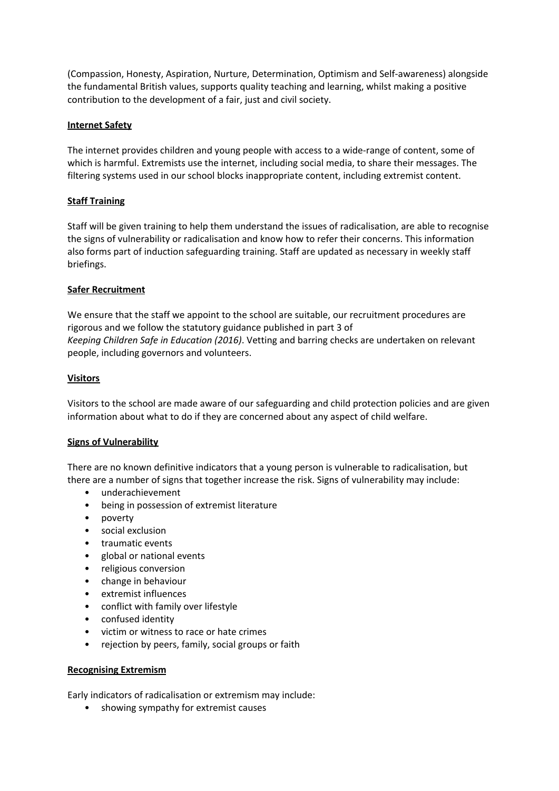(Compassion, Honesty, Aspiration, Nurture, Determination, Optimism and Self-awareness) alongside the fundamental British values, supports quality teaching and learning, whilst making a positive contribution to the development of a fair, just and civil society.

### **Internet Safety**

The internet provides children and young people with access to a wide-range of content, some of which is harmful. Extremists use the internet, including social media, to share their messages. The filtering systems used in our school blocks inappropriate content, including extremist content.

# **Staff Training**

Staff will be given training to help them understand the issues of radicalisation, are able to recognise the signs of vulnerability or radicalisation and know how to refer their concerns. This information also forms part of induction safeguarding training. Staff are updated as necessary in weekly staff briefings.

## **Safer Recruitment**

We ensure that the staff we appoint to the school are suitable, our recruitment procedures are rigorous and we follow the statutory guidance published in part 3 of *Keeping Children Safe in Education (2016)*. Vetting and barring checks are undertaken on relevant people, including governors and volunteers.

## **Visitors**

Visitors to the school are made aware of our safeguarding and child protection policies and are given information about what to do if they are concerned about any aspect of child welfare.

### **Signs of Vulnerability**

There are no known definitive indicators that a young person is vulnerable to radicalisation, but there are a number of signs that together increase the risk. Signs of vulnerability may include:

- underachievement
- being in possession of extremist literature
- poverty
- social exclusion
- traumatic events
- global or national events
- religious conversion
- change in behaviour
- extremist influences
- conflict with family over lifestyle
- confused identity
- victim or witness to race or hate crimes
- rejection by peers, family, social groups or faith

### **Recognising Extremism**

Early indicators of radicalisation or extremism may include:

• showing sympathy for extremist causes